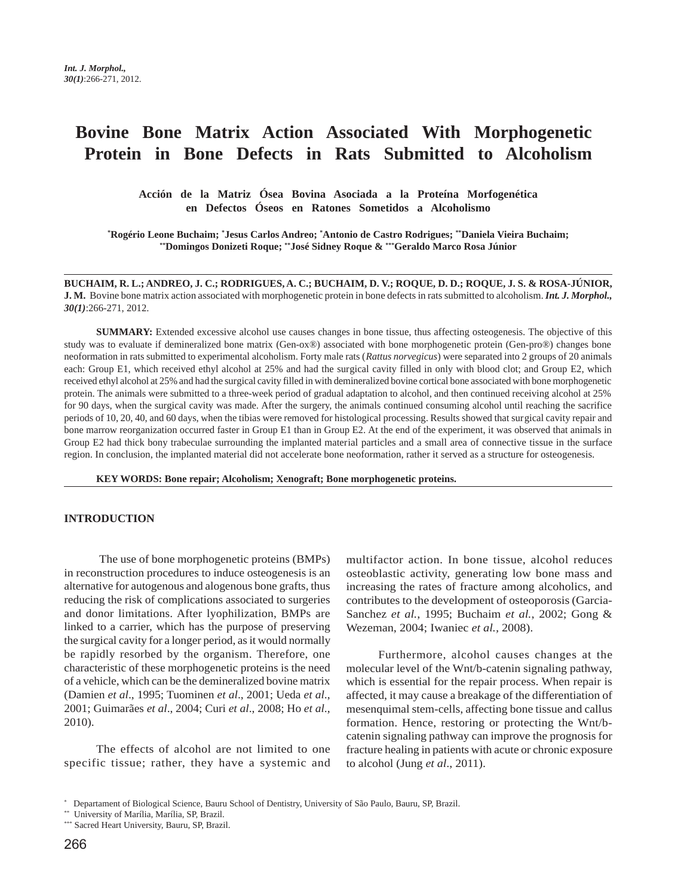# **Bovine Bone Matrix Action Associated With Morphogenetic Protein in Bone Defects in Rats Submitted to Alcoholism**

**Acción de la Matriz Ósea Bovina Asociada a la Proteína Morfogenética en Defectos Óseos en Ratones Sometidos a Alcoholismo**

**\* Rogério Leone Buchaim; \* Jesus Carlos Andreo; \* Antonio de Castro Rodrigues; \*\*Daniela Vieira Buchaim; \*\*Domingos Donizeti Roque; \*\*José Sidney Roque & \*\*\*Geraldo Marco Rosa Júnior**

**BUCHAIM, R. L.; ANDREO, J. C.; RODRIGUES, A. C.; BUCHAIM, D. V.; ROQUE, D. D.; ROQUE, J. S. & ROSA-JÚNIOR, J. M.** Bovine bone matrix action associated with morphogenetic protein in bone defects in rats submitted to alcoholism. *Int. J. Morphol., 30(1)*:266-271, 2012.

**SUMMARY:** Extended excessive alcohol use causes changes in bone tissue, thus affecting osteogenesis. The objective of this study was to evaluate if demineralized bone matrix (Gen-ox®) associated with bone morphogenetic protein (Gen-pro®) changes bone neoformation in rats submitted to experimental alcoholism. Forty male rats (*Rattus norvegicus*) were separated into 2 groups of 20 animals each: Group E1, which received ethyl alcohol at 25% and had the surgical cavity filled in only with blood clot; and Group E2, which received ethyl alcohol at 25% and had the surgical cavity filled in with demineralized bovine cortical bone associated with bone morphogenetic protein. The animals were submitted to a three-week period of gradual adaptation to alcohol, and then continued receiving alcohol at 25% for 90 days, when the surgical cavity was made. After the surgery, the animals continued consuming alcohol until reaching the sacrifice periods of 10, 20, 40, and 60 days, when the tibias were removed for histological processing. Results showed that surgical cavity repair and bone marrow reorganization occurred faster in Group E1 than in Group E2. At the end of the experiment, it was observed that animals in Group E2 had thick bony trabeculae surrounding the implanted material particles and a small area of connective tissue in the surface region. In conclusion, the implanted material did not accelerate bone neoformation, rather it served as a structure for osteogenesis.

**KEY WORDS: Bone repair; Alcoholism; Xenograft; Bone morphogenetic proteins.**

#### **INTRODUCTION**

 The use of bone morphogenetic proteins (BMPs) in reconstruction procedures to induce osteogenesis is an alternative for autogenous and alogenous bone grafts, thus reducing the risk of complications associated to surgeries and donor limitations. After lyophilization, BMPs are linked to a carrier, which has the purpose of preserving the surgical cavity for a longer period, as it would normally be rapidly resorbed by the organism. Therefore, one characteristic of these morphogenetic proteins is the need of a vehicle, which can be the demineralized bovine matrix (Damien *et al*., 1995; Tuominen *et al*., 2001; Ueda *et al*., 2001; Guimarães *et al*., 2004; Curi *et al*., 2008; Ho *et al*., 2010).

The effects of alcohol are not limited to one specific tissue; rather, they have a systemic and multifactor action. In bone tissue, alcohol reduces osteoblastic activity, generating low bone mass and increasing the rates of fracture among alcoholics, and contributes to the development of osteoporosis (Garcia-Sanchez *et al.*, 1995; Buchaim *et al.*, 2002; Gong & Wezeman, 2004; Iwaniec *et al.,* 2008).

Furthermore, alcohol causes changes at the molecular level of the Wnt/b-catenin signaling pathway, which is essential for the repair process. When repair is affected, it may cause a breakage of the differentiation of mesenquimal stem-cells, affecting bone tissue and callus formation. Hence, restoring or protecting the Wnt/bcatenin signaling pathway can improve the prognosis for fracture healing in patients with acute or chronic exposure to alcohol (Jung *et al*., 2011).

<sup>\*</sup> Departament of Biological Science, Bauru School of Dentistry, University of São Paulo, Bauru, SP, Brazil.

<sup>\*\*</sup> University of Marília, Marília, SP, Brazil.

<sup>\*\*\*</sup> Sacred Heart University, Bauru, SP, Brazil.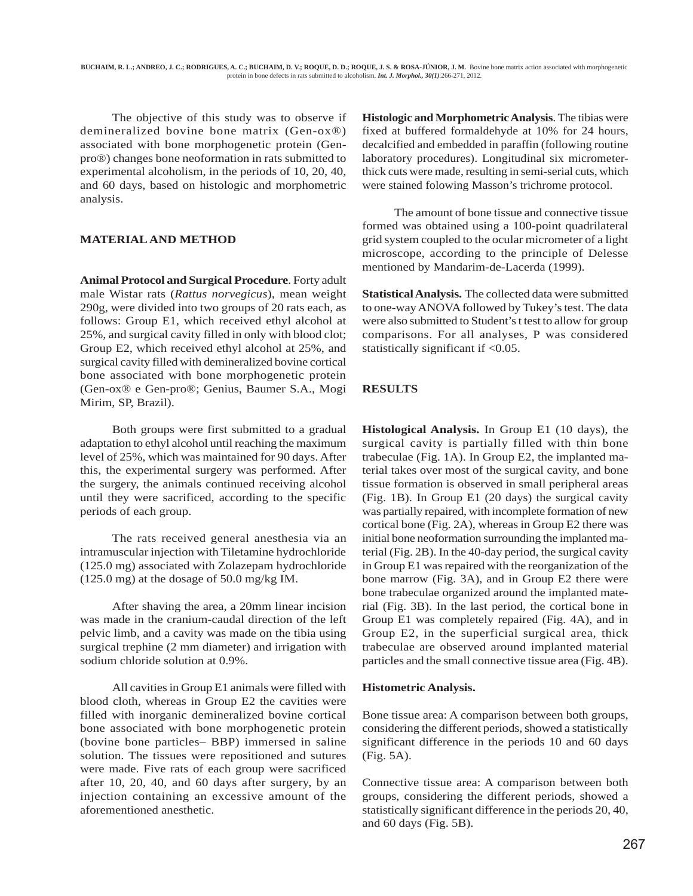The objective of this study was to observe if demineralized bovine bone matrix (Gen-ox®) associated with bone morphogenetic protein (Genpro®) changes bone neoformation in rats submitted to experimental alcoholism, in the periods of 10, 20, 40, and 60 days, based on histologic and morphometric analysis.

## **MATERIAL AND METHOD**

**Animal Protocol and Surgical Procedure**. Forty adult male Wistar rats (*Rattus norvegicus*), mean weight 290g, were divided into two groups of 20 rats each, as follows: Group E1, which received ethyl alcohol at 25%, and surgical cavity filled in only with blood clot; Group E2, which received ethyl alcohol at 25%, and surgical cavity filled with demineralized bovine cortical bone associated with bone morphogenetic protein (Gen-ox® e Gen-pro®; Genius, Baumer S.A., Mogi Mirim, SP, Brazil).

Both groups were first submitted to a gradual adaptation to ethyl alcohol until reaching the maximum level of 25%, which was maintained for 90 days. After this, the experimental surgery was performed. After the surgery, the animals continued receiving alcohol until they were sacrificed, according to the specific periods of each group.

The rats received general anesthesia via an intramuscular injection with Tiletamine hydrochloride (125.0 mg) associated with Zolazepam hydrochloride (125.0 mg) at the dosage of 50.0 mg/kg IM.

After shaving the area, a 20mm linear incision was made in the cranium-caudal direction of the left pelvic limb, and a cavity was made on the tibia using surgical trephine (2 mm diameter) and irrigation with sodium chloride solution at 0.9%.

All cavities in Group E1 animals were filled with blood cloth, whereas in Group E2 the cavities were filled with inorganic demineralized bovine cortical bone associated with bone morphogenetic protein (bovine bone particles– BBP) immersed in saline solution. The tissues were repositioned and sutures were made. Five rats of each group were sacrificed after 10, 20, 40, and 60 days after surgery, by an injection containing an excessive amount of the aforementioned anesthetic.

**Histologic and Morphometric Analysis**. The tibias were fixed at buffered formaldehyde at 10% for 24 hours, decalcified and embedded in paraffin (following routine laboratory procedures). Longitudinal six micrometerthick cuts were made, resulting in semi-serial cuts, which were stained folowing Masson's trichrome protocol.

The amount of bone tissue and connective tissue formed was obtained using a 100-point quadrilateral grid system coupled to the ocular micrometer of a light microscope, according to the principle of Delesse mentioned by Mandarim-de-Lacerda (1999).

**Statistical Analysis.** The collected data were submitted to one-way ANOVA followed by Tukey's test. The data were also submitted to Student's t test to allow for group comparisons. For all analyses, P was considered statistically significant if <0.05.

# **RESULTS**

**Histological Analysis.** In Group E1 (10 days), the surgical cavity is partially filled with thin bone trabeculae (Fig. 1A). In Group E2, the implanted material takes over most of the surgical cavity, and bone tissue formation is observed in small peripheral areas (Fig. 1B). In Group E1 (20 days) the surgical cavity was partially repaired, with incomplete formation of new cortical bone (Fig. 2A), whereas in Group E2 there was initial bone neoformation surrounding the implanted material (Fig. 2B). In the 40-day period, the surgical cavity in Group E1 was repaired with the reorganization of the bone marrow (Fig. 3A), and in Group E2 there were bone trabeculae organized around the implanted material (Fig. 3B). In the last period, the cortical bone in Group E1 was completely repaired (Fig. 4A), and in Group E2, in the superficial surgical area, thick trabeculae are observed around implanted material particles and the small connective tissue area (Fig. 4B).

## **Histometric Analysis.**

Bone tissue area: A comparison between both groups, considering the different periods, showed a statistically significant difference in the periods 10 and 60 days (Fig. 5A).

Connective tissue area: A comparison between both groups, considering the different periods, showed a statistically significant difference in the periods 20, 40, and 60 days (Fig. 5B).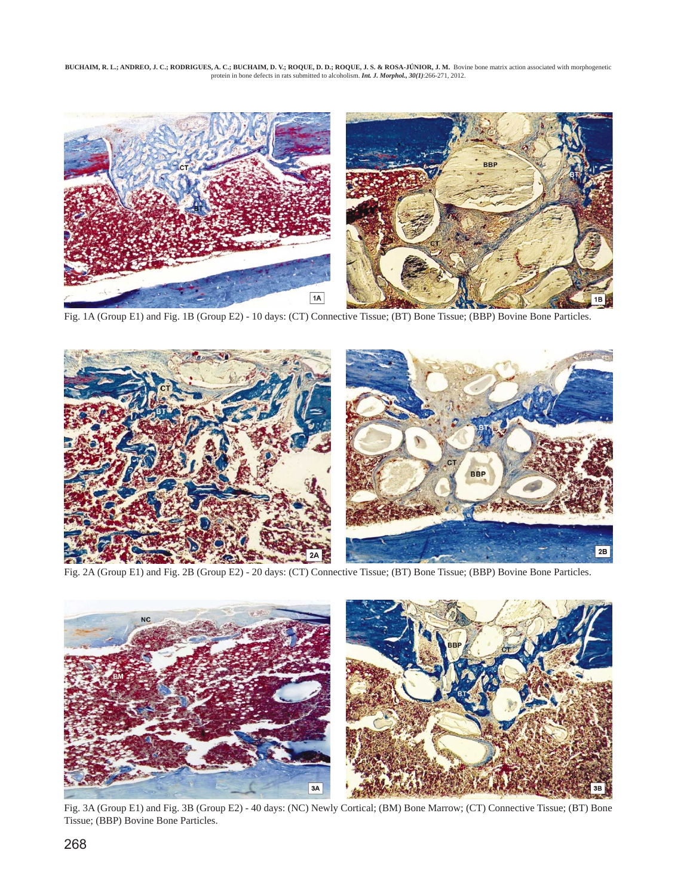BUCHAIM, R. L.; ANDREO, J. C.; RODRIGUES, A. C.; BUCHAIM, D. V.; ROQUE, D. D.; ROQUE, J. S. & ROSA-JUNIOR, J. M. Bovine bone matrix action associated with morphogenetic<br>protein in bone defects in rats submitted to alcoholi



Fig. 1A (Group E1) and Fig. 1B (Group E2) - 10 days: (CT) Connective Tissue; (BT) Bone Tissue; (BBP) Bovine Bone Particles.



Fig. 2A (Group E1) and Fig. 2B (Group E2) - 20 days: (CT) Connective Tissue; (BT) Bone Tissue; (BBP) Bovine Bone Particles.



Fig. 3A (Group E1) and Fig. 3B (Group E2) - 40 days: (NC) Newly Cortical; (BM) Bone Marrow; (CT) Connective Tissue; (BT) Bone Tissue; (BBP) Bovine Bone Particles.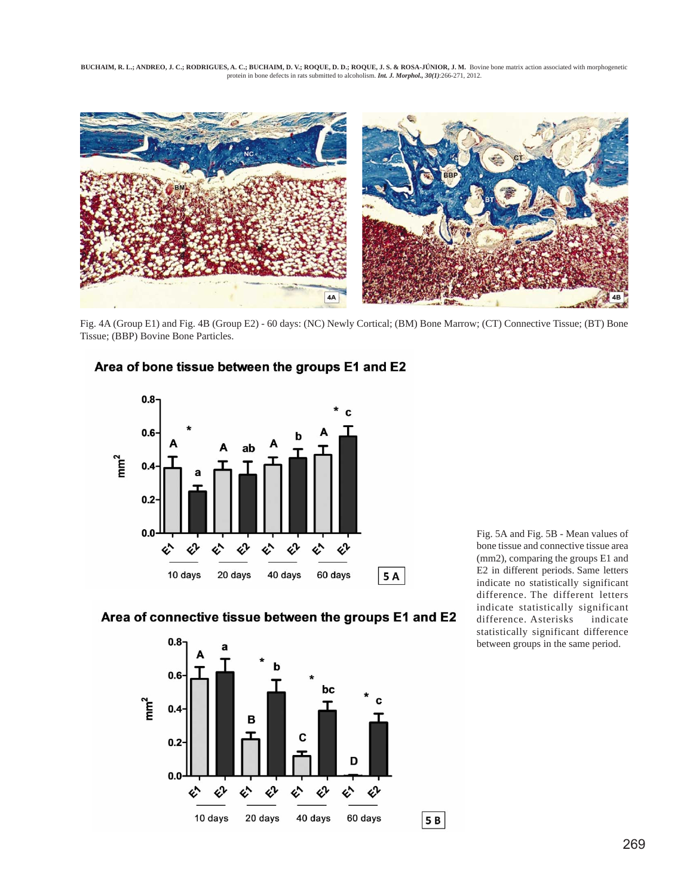**BUCHAIM, R. L.; ANDREO, J. C.; RODRIGUES, A. C.; BUCHAIM, D. V.; ROQUE, D. D.; ROQUE, J. S. & ROSA-JÚNIOR, J. M.** Bovine bone matrix action associated with morphogenetic protein in bone defects in rats submitted to alcoholism. *Int. J. Morphol., 30(1)*:266-271, 2012.



Fig. 4A (Group E1) and Fig. 4B (Group E2) - 60 days: (NC) Newly Cortical; (BM) Bone Marrow; (CT) Connective Tissue; (BT) Bone Tissue; (BBP) Bovine Bone Particles.



# Area of bone tissue between the groups E1 and E2

Area of connective tissue between the groups E1 and E2



Fig. 5A and Fig. 5B - Mean values of bone tissue and connective tissue area (mm2), comparing the groups E1 and E2 in different periods. Same letters indicate no statistically significant difference. The different letters indicate statistically significant difference. Asterisks indicate statistically significant difference between groups in the same period.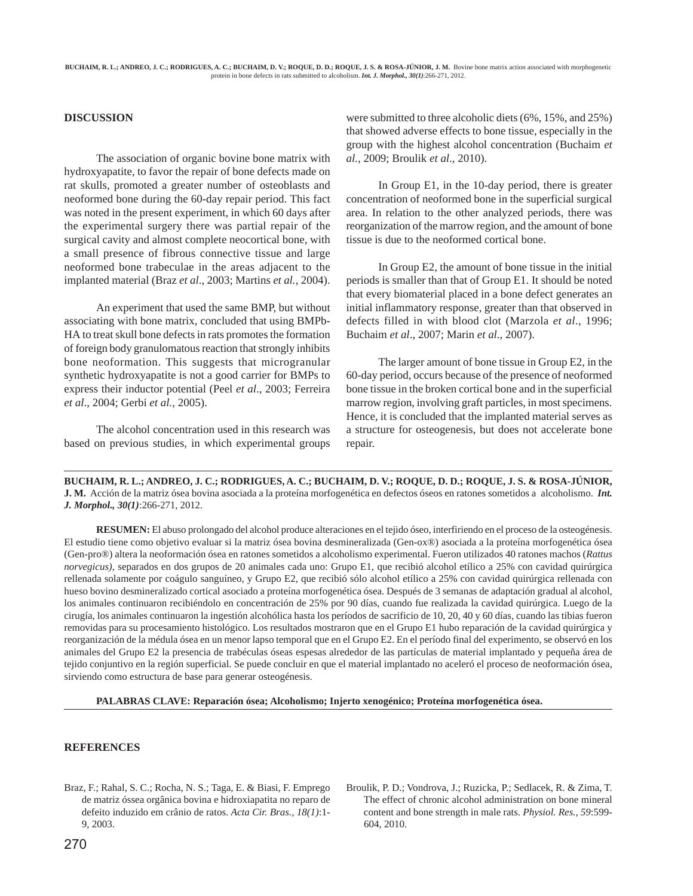#### **DISCUSSION**

The association of organic bovine bone matrix with hydroxyapatite, to favor the repair of bone defects made on rat skulls, promoted a greater number of osteoblasts and neoformed bone during the 60-day repair period. This fact was noted in the present experiment, in which 60 days after the experimental surgery there was partial repair of the surgical cavity and almost complete neocortical bone, with a small presence of fibrous connective tissue and large neoformed bone trabeculae in the areas adjacent to the implanted material (Braz *et al*., 2003; Martins *et al.*, 2004).

An experiment that used the same BMP, but without associating with bone matrix, concluded that using BMPb-HA to treat skull bone defects in rats promotes the formation of foreign body granulomatous reaction that strongly inhibits bone neoformation. This suggests that microgranular synthetic hydroxyapatite is not a good carrier for BMPs to express their inductor potential (Peel *et al*., 2003; Ferreira *et al*., 2004; Gerbi *et al.*, 2005).

The alcohol concentration used in this research was based on previous studies, in which experimental groups were submitted to three alcoholic diets (6%, 15%, and 25%) that showed adverse effects to bone tissue, especially in the group with the highest alcohol concentration (Buchaim *et al.*, 2009; Broulik *et al*., 2010).

In Group E1, in the 10-day period, there is greater concentration of neoformed bone in the superficial surgical area. In relation to the other analyzed periods, there was reorganization of the marrow region, and the amount of bone tissue is due to the neoformed cortical bone.

In Group E2, the amount of bone tissue in the initial periods is smaller than that of Group E1. It should be noted that every biomaterial placed in a bone defect generates an initial inflammatory response, greater than that observed in defects filled in with blood clot (Marzola *et al*., 1996; Buchaim *et al*., 2007; Marin *et al.*, 2007).

The larger amount of bone tissue in Group E2, in the 60-day period, occurs because of the presence of neoformed bone tissue in the broken cortical bone and in the superficial marrow region, involving graft particles, in most specimens. Hence, it is concluded that the implanted material serves as a structure for osteogenesis, but does not accelerate bone repair.

**BUCHAIM, R. L.; ANDREO, J. C.; RODRIGUES, A. C.; BUCHAIM, D. V.; ROQUE, D. D.; ROQUE, J. S. & ROSA-JÚNIOR, J. M.** Acción de la matriz ósea bovina asociada a la proteína morfogenética en defectos óseos en ratones sometidos a alcoholismo. *Int. J. Morphol., 30(1)*:266-271, 2012.

**RESUMEN:** El abuso prolongado del alcohol produce alteraciones en el tejido óseo, interfiriendo en el proceso de la osteogénesis. El estudio tiene como objetivo evaluar si la matriz ósea bovina desmineralizada (Gen-ox®) asociada a la proteína morfogenética ósea (Gen-pro®) altera la neoformación ósea en ratones sometidos a alcoholismo experimental. Fueron utilizados 40 ratones machos (*Rattus norvegicus)*, separados en dos grupos de 20 animales cada uno: Grupo E1, que recibió alcohol etílico a 25% con cavidad quirúrgica rellenada solamente por coágulo sanguíneo, y Grupo E2, que recibió sólo alcohol etílico a 25% con cavidad quirúrgica rellenada con hueso bovino desmineralizado cortical asociado a proteína morfogenética ósea. Después de 3 semanas de adaptación gradual al alcohol, los animales continuaron recibiéndolo en concentración de 25% por 90 días, cuando fue realizada la cavidad quirúrgica. Luego de la cirugía, los animales continuaron la ingestión alcohólica hasta los períodos de sacrificio de 10, 20, 40 y 60 días, cuando las tibias fueron removidas para su procesamiento histológico. Los resultados mostraron que en el Grupo E1 hubo reparación de la cavidad quirúrgica y reorganización de la médula ósea en un menor lapso temporal que en el Grupo E2. En el período final del experimento, se observó en los animales del Grupo E2 la presencia de trabéculas óseas espesas alrededor de las partículas de material implantado y pequeña área de tejido conjuntivo en la región superficial. Se puede concluir en que el material implantado no aceleró el proceso de neoformación ósea, sirviendo como estructura de base para generar osteogénesis.

**PALABRAS CLAVE: Reparación ósea; Alcoholismo; Injerto xenogénico; Proteína morfogenética ósea.**

### **REFERENCES**

- Braz, F.; Rahal, S. C.; Rocha, N. S.; Taga, E. & Biasi, F. Emprego de matriz óssea orgânica bovina e hidroxiapatita no reparo de defeito induzido em crânio de ratos. *Acta Cir. Bras., 18(1)*:1- 9, 2003.
- Broulik, P. D.; Vondrova, J.; Ruzicka, P.; Sedlacek, R. & Zima, T. The effect of chronic alcohol administration on bone mineral content and bone strength in male rats. *Physiol. Res., 59*:599- 604, 2010.